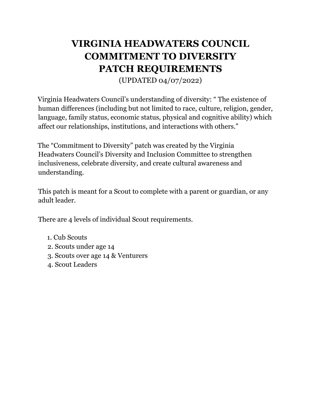# **VIRGINIA HEADWATERS COUNCIL COMMITMENT TO DIVERSITY PATCH REQUIREMENTS**

(UPDATED 04/07/2022)

Virginia Headwaters Council's understanding of diversity: " The existence of human differences (including but not limited to race, culture, religion, gender, language, family status, economic status, physical and cognitive ability) which affect our relationships, institutions, and interactions with others."

The "Commitment to Diversity" patch was created by the Virginia Headwaters Council's Diversity and Inclusion Committee to strengthen inclusiveness, celebrate diversity, and create cultural awareness and understanding.

This patch is meant for a Scout to complete with a parent or guardian, or any adult leader.

There are 4 levels of individual Scout requirements.

- 1. Cub Scouts
- 2. Scouts under age 14
- 3. Scouts over age 14 & Venturers
- 4. Scout Leaders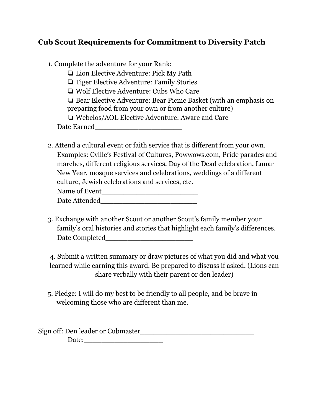# **Cub Scout Requirements for Commitment to Diversity Patch**

❏ Lion Elective Adventure: Pick My Path

❏ Tiger Elective Adventure: Family Stories

❏ Wolf Elective Adventure: Cubs Who Care

❏ Bear Elective Adventure: Bear Picnic Basket (with an emphasis on

preparing food from your own or from another culture)

❏ Webelos/AOL Elective Adventure: Aware and Care

Date Earned

2. Attend a cultural event or faith service that is different from your own. Examples: Cville's Festival of Cultures, Powwows.com, Pride parades and marches, different religious services, Day of the Dead celebration, Lunar New Year, mosque services and celebrations, weddings of a different culture, Jewish celebrations and services, etc.

| Name of Event |  |
|---------------|--|
| Date Attended |  |

3. Exchange with another Scout or another Scout's family member your family's oral histories and stories that highlight each family's differences. Date Completed

4. Submit a written summary or draw pictures of what you did and what you learned while earning this award. Be prepared to discuss if asked. (Lions can share verbally with their parent or den leader)

5. Pledge: I will do my best to be friendly to all people, and be brave in welcoming those who are different than me.

Sign off: Den leader or Cubmaster Date: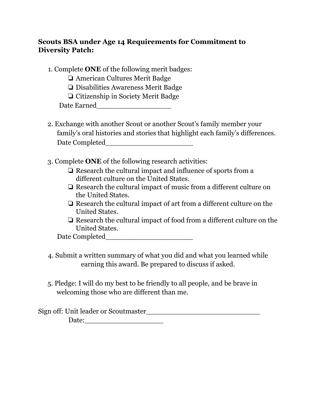### **Scouts BSA under Age 14 Requirements for Commitment to Diversity Patch:**

- 1. Complete **ONE** of the following merit badges:
	- ❏ American Cultures Merit Badge
	- ❏ Disabilities Awareness Merit Badge
	- ❏ Citizenship in Society Merit Badge

- 2. Exchange with another Scout or another Scout's family member your family's oral histories and stories that highlight each family's differences. Date Completed
- 3. Complete **ONE** of the following research activities:
	- ❏ Research the cultural impact and influence of sports from a different culture on the United States.
	- ❏ Research the cultural impact of music from a different culture on the United States.
	- ❏ Research the cultural impact of art from a different culture on the United States.
	- ❏ Research the cultural impact of food from a different culture on the United States.

| Date Completed |  |
|----------------|--|
|                |  |

- 4. Submit a written summary of what you did and what you learned while earning this award. Be prepared to discuss if asked.
- 5. Pledge: I will do my best to be friendly to all people, and be brave in welcoming those who are different than me.

| Sign off: Unit leader or Scoutmaster_ |  |
|---------------------------------------|--|
| Date:                                 |  |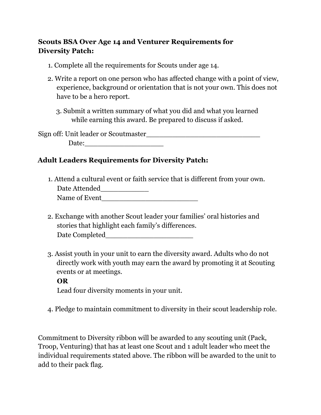## **Scouts BSA Over Age 14 and Venturer Requirements for Diversity Patch:**

- 1. Complete all the requirements for Scouts under age 14.
- 2. Write a report on one person who has affected change with a point of view, experience, background or orientation that is not your own. This does not have to be a hero report.
	- 3. Submit a written summary of what you did and what you learned while earning this award. Be prepared to discuss if asked.

Sign off: Unit leader or Scoutmaster\_\_\_\_\_\_\_\_\_\_\_\_\_\_\_\_\_\_\_\_\_\_\_\_\_\_ Date:\_\_\_\_\_\_\_\_\_\_\_\_\_\_\_\_\_\_

## **Adult Leaders Requirements for Diversity Patch:**

1. Attend a cultural event or faith service that is different from your own. Date Attended

- 2. Exchange with another Scout leader your families' oral histories and stories that highlight each family's differences. Date Completed\_\_\_\_\_\_\_\_\_\_\_\_\_\_\_\_\_\_\_\_
- 3. Assist youth in your unit to earn the diversity award. Adults who do not directly work with youth may earn the award by promoting it at Scouting events or at meetings.

### **OR**

Lead four diversity moments in your unit.

4. Pledge to maintain commitment to diversity in their scout leadership role.

Commitment to Diversity ribbon will be awarded to any scouting unit (Pack, Troop, Venturing) that has at least one Scout and 1 adult leader who meet the individual requirements stated above. The ribbon will be awarded to the unit to add to their pack flag.